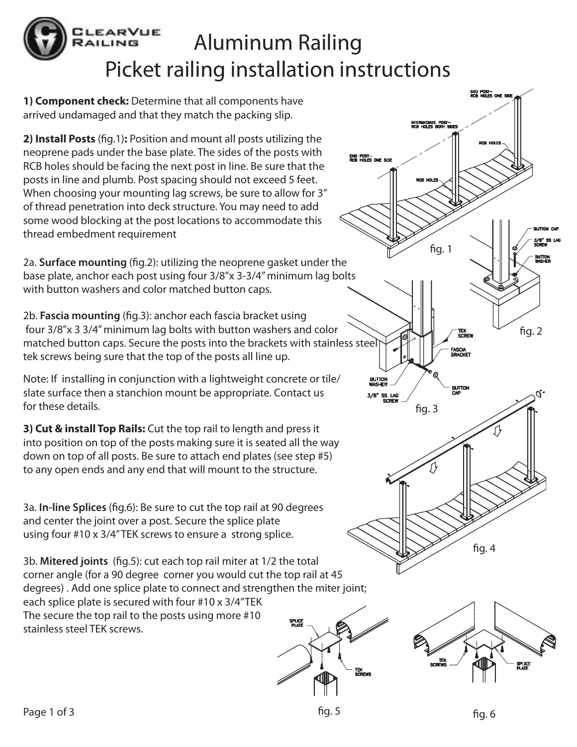## **EARVUE** Aluminum Railing AILING Picket railing installation instructions

**1) Component check:** Determine that all components have arrived undamaged and that they match the packing slip.

**2) Install Posts** (fig.1): Position and mount all posts utilizing the neoprene pads under the base plate. The sides of the posts with RCB holes should be facing the next post in line. Be sure that the posts in line and plumb. Post spacing should not exceed 5 feet. When choosing your mounting lag screws, be sure to allow for 3" of thread penetration into deck structure. You may need to add some wood blocking at the post locations to accommodate this thread embedment requirement

2a. **Surface mounting** (fig.2): utilizing the neoprene gasket under the base plate, anchor each post using four 3/8"x 3-3/4" minimum lag bolts with button washers and color matched button caps.

2b. **Fascia mounting** (fig.3): anchor each fascia bracket using four 3/8"x 3 3/4" minimum lag bolts with button washers and color matched button caps. Secure the posts into the brackets with stainless steel tek screws being sure that the top of the posts all line up.

Note: If installing in conjunction with a lightweight concrete or tile/ slate surface then a stanchion mount be appropriate. Contact us for these details.

**3) Cut & install Top Rails:** Cut the top rail to length and press it into position on top of the posts making sure it is seated all the way down on top of all posts. Be sure to attach end plates (see step #5) to any open ends and any end that will mount to the structure.

3a. **In-line Splices** (fig.6): Be sure to cut the top rail at 90 degrees and center the joint over a post. Secure the splice plate using four #10 x 3/4" TEK screws to ensure a strong splice.

3b. Mitered joints (fig.5): cut each top rail miter at 1/2 the total corner angle (for a 90 degree corner you would cut the top rail at 45 degrees) . Add one splice plate to connect and strengthen the miter joint; each splice plate is secured with four #10 x 3/4"TEK The secure the top rail to the posts using more #10 **SPLICI**<br>PLATI stainless steel TEK screws.





fig.  $1$ 

intermediate post—<br>RCB Holes both side!

end post-<br>RCB Holes one sid

end post—<br>RCB holes one side

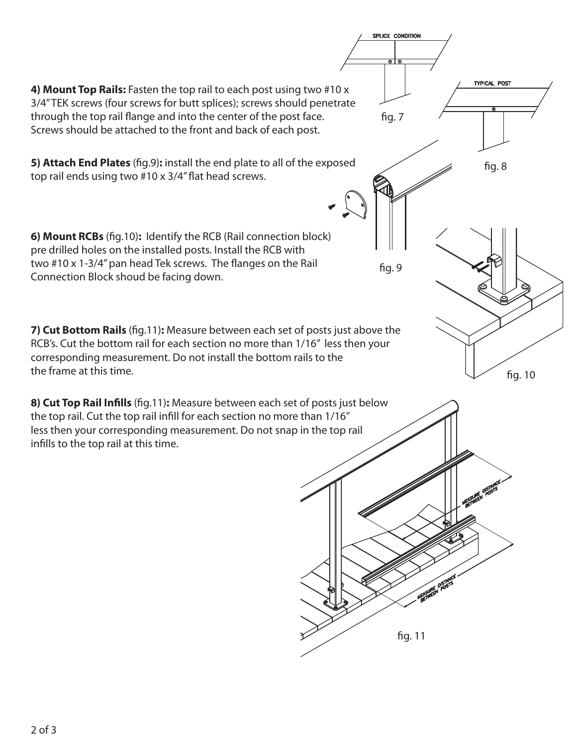